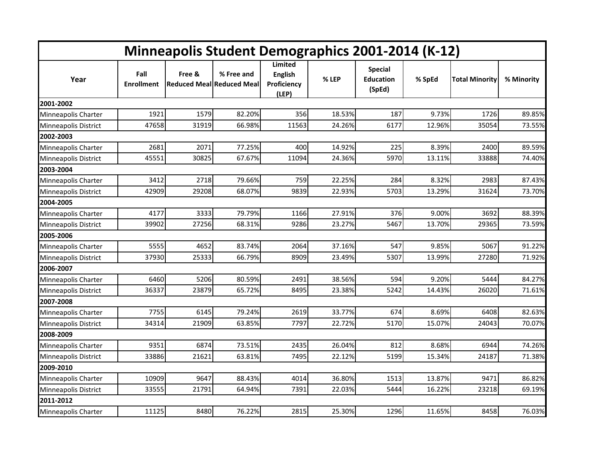| <b>Minneapolis Student Demographics 2001-2014 (K-12)</b> |                           |        |                                                 |                                                          |        |                                              |        |                       |            |  |
|----------------------------------------------------------|---------------------------|--------|-------------------------------------------------|----------------------------------------------------------|--------|----------------------------------------------|--------|-----------------------|------------|--|
| Year                                                     | Fall<br><b>Enrollment</b> | Free & | % Free and<br><b>Reduced MeallReduced Meall</b> | <b>Limited</b><br><b>English</b><br>Proficiency<br>(LEP) | % LEP  | <b>Special</b><br><b>Education</b><br>(SpEd) | % SpEd | <b>Total Minority</b> | % Minority |  |
| 2001-2002                                                |                           |        |                                                 |                                                          |        |                                              |        |                       |            |  |
| Minneapolis Charter                                      | 1921                      | 1579   | 82.20%                                          | 356                                                      | 18.53% | 187                                          | 9.73%  | 1726                  | 89.85%     |  |
| <b>Minneapolis District</b>                              | 47658                     | 31919  | 66.98%                                          | 11563                                                    | 24.26% | 6177                                         | 12.96% | 35054                 | 73.55%     |  |
| 2002-2003                                                |                           |        |                                                 |                                                          |        |                                              |        |                       |            |  |
| Minneapolis Charter                                      | 2681                      | 2071   | 77.25%                                          | 400                                                      | 14.92% | 225                                          | 8.39%  | 2400                  | 89.59%     |  |
| Minneapolis District                                     | 45551                     | 30825  | 67.67%                                          | 11094                                                    | 24.36% | 5970                                         | 13.11% | 33888                 | 74.40%     |  |
| 2003-2004                                                |                           |        |                                                 |                                                          |        |                                              |        |                       |            |  |
| Minneapolis Charter                                      | 3412                      | 2718   | 79.66%                                          | 759                                                      | 22.25% | 284                                          | 8.32%  | 2983                  | 87.43%     |  |
| Minneapolis District                                     | 42909                     | 29208  | 68.07%                                          | 9839                                                     | 22.93% | 5703                                         | 13.29% | 31624                 | 73.70%     |  |
| 2004-2005                                                |                           |        |                                                 |                                                          |        |                                              |        |                       |            |  |
| Minneapolis Charter                                      | 4177                      | 3333   | 79.79%                                          | 1166                                                     | 27.91% | 376                                          | 9.00%  | 3692                  | 88.39%     |  |
| Minneapolis District                                     | 39902                     | 27256  | 68.31%                                          | 9286                                                     | 23.27% | 5467                                         | 13.70% | 29365                 | 73.59%     |  |
| 2005-2006                                                |                           |        |                                                 |                                                          |        |                                              |        |                       |            |  |
| Minneapolis Charter                                      | 5555                      | 4652   | 83.74%                                          | 2064                                                     | 37.16% | 547                                          | 9.85%  | 5067                  | 91.22%     |  |
| Minneapolis District                                     | 37930                     | 25333  | 66.79%                                          | 8909                                                     | 23.49% | 5307                                         | 13.99% | 27280                 | 71.92%     |  |
| 2006-2007                                                |                           |        |                                                 |                                                          |        |                                              |        |                       |            |  |
| Minneapolis Charter                                      | 6460                      | 5206   | 80.59%                                          | 2491                                                     | 38.56% | 594                                          | 9.20%  | 5444                  | 84.27%     |  |
| Minneapolis District                                     | 36337                     | 23879  | 65.72%                                          | 8495                                                     | 23.38% | 5242                                         | 14.43% | 26020                 | 71.61%     |  |
| 2007-2008                                                |                           |        |                                                 |                                                          |        |                                              |        |                       |            |  |
| Minneapolis Charter                                      | 7755                      | 6145   | 79.24%                                          | 2619                                                     | 33.77% | 674                                          | 8.69%  | 6408                  | 82.63%     |  |
| Minneapolis District                                     | 34314                     | 21909  | 63.85%                                          | 7797                                                     | 22.72% | 5170                                         | 15.07% | 24043                 | 70.07%     |  |
| 2008-2009                                                |                           |        |                                                 |                                                          |        |                                              |        |                       |            |  |
| Minneapolis Charter                                      | 9351                      | 6874   | 73.51%                                          | 2435                                                     | 26.04% | 812                                          | 8.68%  | 6944                  | 74.26%     |  |
| Minneapolis District                                     | 33886                     | 21621  | 63.81%                                          | 7495                                                     | 22.12% | 5199                                         | 15.34% | 24187                 | 71.38%     |  |
| 2009-2010                                                |                           |        |                                                 |                                                          |        |                                              |        |                       |            |  |
| Minneapolis Charter                                      | 10909                     | 9647   | 88.43%                                          | 4014                                                     | 36.80% | 1513                                         | 13.87% | 9471                  | 86.82%     |  |
| Minneapolis District                                     | 33555                     | 21791  | 64.94%                                          | 7391                                                     | 22.03% | 5444                                         | 16.22% | 23218                 | 69.19%     |  |
| 2011-2012                                                |                           |        |                                                 |                                                          |        |                                              |        |                       |            |  |
| Minneapolis Charter                                      | 11125                     | 8480   | 76.22%                                          | 2815                                                     | 25.30% | 1296                                         | 11.65% | 8458                  | 76.03%     |  |